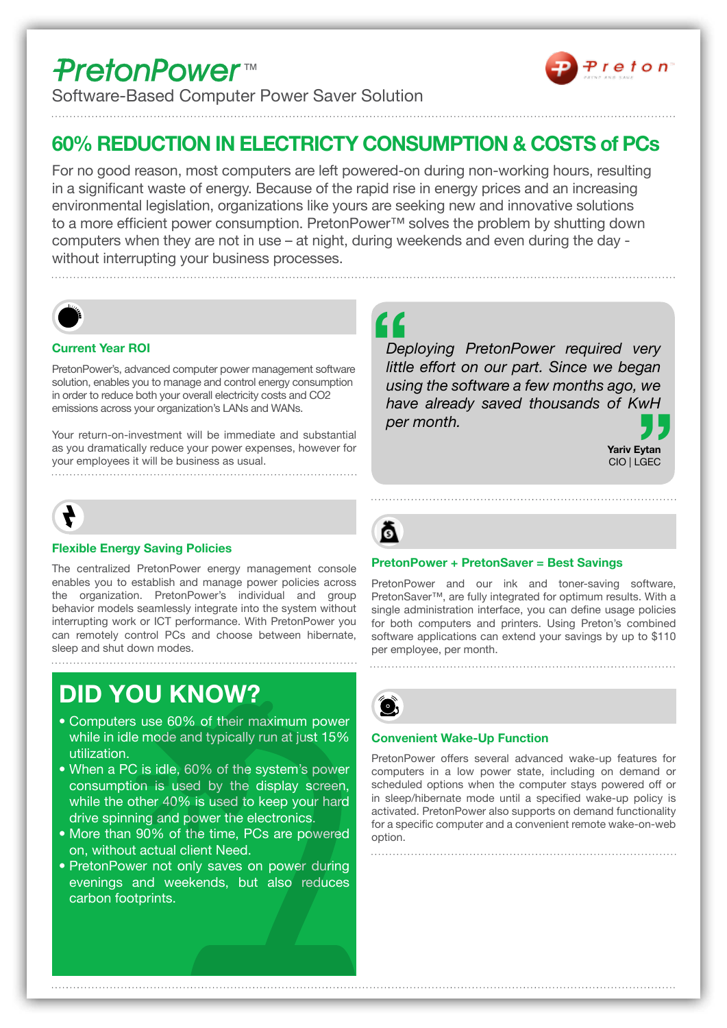# **PretonPower**<sup>™</sup>



Software-Based Computer Power Saver Solution

## **60% REDUCTION IN ELECTRICTY CONSUMPTION & COSTS of PCs**

For no good reason, most computers are left powered-on during non-working hours, resulting in a significant waste of energy. Because of the rapid rise in energy prices and an increasing environmental legislation, organizations like yours are seeking new and innovative solutions to a more efficient power consumption. PretonPower™ solves the problem by shutting down computers when they are not in use – at night, during weekends and even during the day without interrupting your business processes.



### **Current Year ROI**

PretonPower's, advanced computer power management software solution, enables you to manage and control energy consumption in order to reduce both your overall electricity costs and CO2 emissions across your organization's LANs and WANs.

Your return-on-investment will be immediate and substantial as you dramatically reduce your power expenses, however for your employees it will be business as usual.



### **Flexible Energy Saving Policies**

The centralized PretonPower energy management console enables you to establish and manage power policies across the organization. PretonPower's individual and group behavior models seamlessly integrate into the system without interrupting work or ICT performance. With PretonPower you can remotely control PCs and choose between hibernate, sleep and shut down modes.

# **DID YOU KNOW?**

- Computers use 60% of their maximum power while in idle mode and typically run at just 15% utilization.
- When a PC is idle, 60% of the system's power consumption is used by the display screen, while the other 40% is used to keep your hard drive spinning and power the electronics.
- More than 90% of the time, PCs are powered on. without actual client Need.
- PretonPower not only saves on power during evenings and weekends, but also reduces carbon footprints.

**f**<br>Dep<br>iittle we<br><sub>wH</sub><br>77 Deploying PretonPower required very *little effort on our part. Since we began using the software a few months ago, we* have already saved thousands of KwH *.month per*





#### **PretonPower + PretonSaver = Best Savings**

PretonPower and our ink and toner-saving software, PretonSaver<sup>™</sup>, are fully integrated for optimum results. With a single administration interface, you can define usage policies for both computers and printers. Using Preton's combined software applications can extend your savings by up to \$110 per employee, per month.



#### **Convenient Wake-Up Function**

PretonPower offers several advanced wake-up features for computers in a low power state, including on demand or scheduled options when the computer stays powered off or in sleep/hibernate mode until a specified wake-up policy is activated. PretonPower also supports on demand functionality for a specific computer and a convenient remote wake-on-web .option